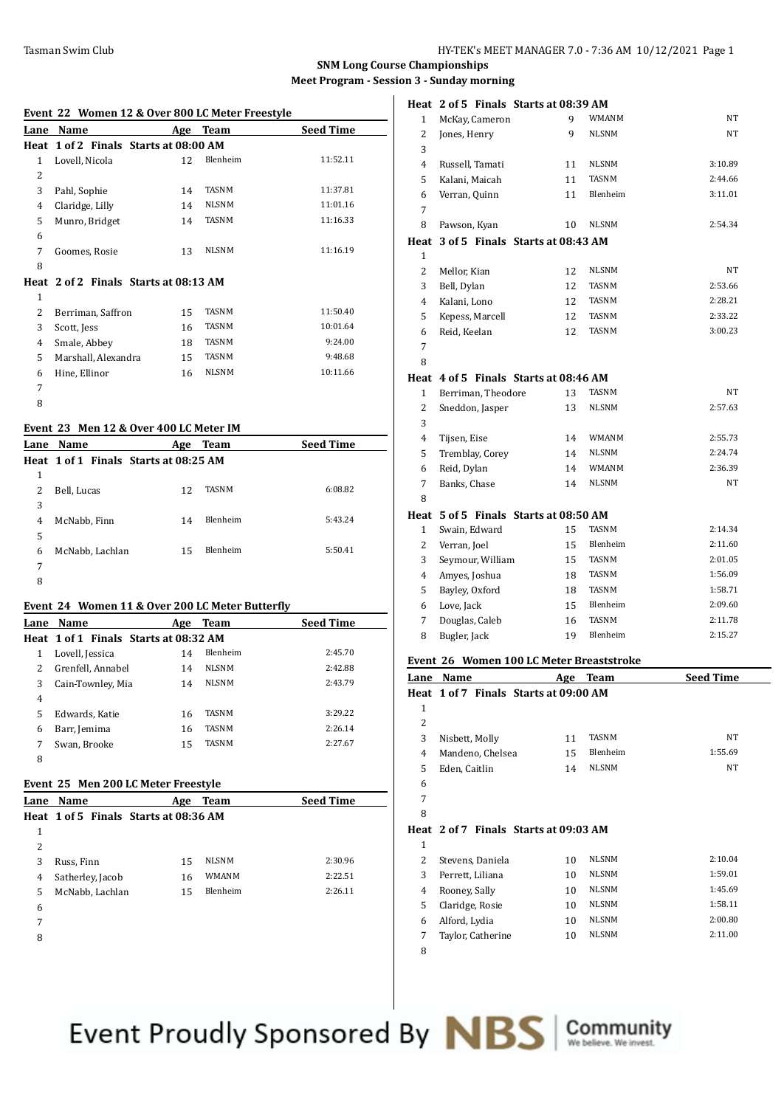**Heat 2 of 5 Finals Starts at 08:39 AM**

#### **SNM Long Course Championships Meet Program - Session 3 - Sunday morning**

|                | Event 22 Women 12 & Over 800 LC Meter Freestyle |     |              |                  |  |
|----------------|-------------------------------------------------|-----|--------------|------------------|--|
| Lane           | Name                                            |     | Age Team     | <b>Seed Time</b> |  |
| Heat           | 1 of 2 Finals Starts at 08:00 AM                |     |              |                  |  |
| $\mathbf{1}$   | Lovell, Nicola                                  | 12  | Blenheim     | 11:52.11         |  |
| $\overline{2}$ |                                                 |     |              |                  |  |
| 3              | Pahl, Sophie                                    | 14  | <b>TASNM</b> | 11:37.81         |  |
| $\overline{4}$ | Claridge, Lilly                                 | 14  | <b>NLSNM</b> | 11:01.16         |  |
| 5              | Munro, Bridget                                  | 14  | <b>TASNM</b> | 11:16.33         |  |
| 6              |                                                 |     |              |                  |  |
| 7              | Goomes, Rosie                                   | 13  | <b>NLSNM</b> | 11:16.19         |  |
| 8              |                                                 |     |              |                  |  |
|                | Heat 2 of 2 Finals Starts at 08:13 AM           |     |              |                  |  |
| $\mathbf{1}$   |                                                 |     |              |                  |  |
| 2              | Berriman, Saffron                               | 15  | <b>TASNM</b> | 11:50.40         |  |
| 3              | Scott, Jess                                     | 16  | <b>TASNM</b> | 10:01.64         |  |
| 4              | Smale, Abbey                                    | 18  | <b>TASNM</b> | 9:24.00          |  |
| 5              | Marshall, Alexandra                             | 15  | <b>TASNM</b> | 9:48.68          |  |
| 6              | Hine, Ellinor                                   | 16  | <b>NLSNM</b> | 10:11.66         |  |
| 7              |                                                 |     |              |                  |  |
| 8              |                                                 |     |              |                  |  |
|                | Event 23 Men 12 & Over 400 LC Meter IM          |     |              |                  |  |
| Lane           | Name                                            | Age | <b>Team</b>  | <b>Seed Time</b> |  |
|                | Heat 1 of 1 Finals Starts at 08:25 AM           |     |              |                  |  |

|   | Heat 1 of 1 Finals Starts at 08:25 AM |    |              |         |
|---|---------------------------------------|----|--------------|---------|
| 1 |                                       |    |              |         |
| 2 | Bell, Lucas                           | 12 | <b>TASNM</b> | 6:08.82 |
| 3 |                                       |    |              |         |
| 4 | McNabb, Finn                          | 14 | Blenheim     | 5:43.24 |
| 5 |                                       |    |              |         |
| 6 | McNabb, Lachlan                       | 15 | Blenheim     | 5:50.41 |
| 7 |                                       |    |              |         |
| 8 |                                       |    |              |         |

### **Event 24 Women 11 & Over 200 LC Meter Butterfly**

| Lane | <b>Name</b>                           | Age | Team            | <b>Seed Time</b> |
|------|---------------------------------------|-----|-----------------|------------------|
|      | Heat 1 of 1 Finals Starts at 08:32 AM |     |                 |                  |
| 1    | Lovell, Jessica                       | 14  | <b>Blenheim</b> | 2:45.70          |
| 2    | Grenfell, Annabel                     | 14  | <b>NLSNM</b>    | 2:42.88          |
| 3    | Cain-Townley, Mia                     | 14  | <b>NLSNM</b>    | 2:43.79          |
| 4    |                                       |     |                 |                  |
| 5    | Edwards, Katie                        | 16  | <b>TASNM</b>    | 3:29.22          |
| 6    | Barr, Jemima                          | 16  | <b>TASNM</b>    | 2:26.14          |
| 7    | Swan, Brooke                          | 15  | <b>TASNM</b>    | 2:27.67          |
| 8    |                                       |     |                 |                  |

#### **Event 25 Men 200 LC Meter Freestyle**

| Lane Name        | Age | <b>Team</b>  | <b>Seed Time</b>                      |
|------------------|-----|--------------|---------------------------------------|
|                  |     |              |                                       |
|                  |     |              |                                       |
|                  |     |              |                                       |
| Russ, Finn       | 15  | <b>NLSNM</b> | 2:30.96                               |
| Satherley, Jacob | 16  | <b>WMANM</b> | 2:22.51                               |
| McNabb, Lachlan  | 15  | Blenheim     | 2:26.11                               |
|                  |     |              |                                       |
|                  |     |              |                                       |
|                  |     |              | Heat 1 of 5 Finals Starts at 08:36 AM |

| $\mathbf{1}$   | McKay, Cameron                           | 9  | <b>WMANM</b> | NT      |
|----------------|------------------------------------------|----|--------------|---------|
| $\overline{c}$ | Jones, Henry                             | 9  | <b>NLSNM</b> | NT      |
| 3              |                                          |    |              |         |
| $\overline{4}$ | Russell, Tamati                          | 11 | <b>NLSNM</b> | 3:10.89 |
| 5              | Kalani, Maicah                           | 11 | <b>TASNM</b> | 2:44.66 |
| 6              | Verran, Quinn                            | 11 | Blenheim     | 3:11.01 |
| 7              |                                          |    |              |         |
| 8              | Pawson, Kyan                             | 10 | <b>NLSNM</b> | 2:54.34 |
| Heat           | 3 of 5 Finals Starts at 08:43 AM         |    |              |         |
| $\mathbf{1}$   |                                          |    |              |         |
| $\overline{2}$ | Mellor, Kian                             | 12 | NLSNM        | NT      |
| 3              | Bell, Dylan                              | 12 | <b>TASNM</b> | 2:53.66 |
| $\overline{4}$ | Kalani, Lono                             | 12 | TASNM        | 2:28.21 |
| 5              | Kepess, Marcell                          | 12 | TASNM        | 2:33.22 |
| 6              | Reid, Keelan                             | 12 | TASNM        | 3:00.23 |
| 7              |                                          |    |              |         |
| 8              |                                          |    |              |         |
| Heat           | 4 of 5 Finals Starts at 08:46 AM         |    |              |         |
| 1              | Berriman, Theodore                       | 13 | <b>TASNM</b> | NT      |
| 2              | Sneddon, Jasper                          | 13 | <b>NLSNM</b> | 2:57.63 |
| 3              |                                          |    |              |         |
| 4              | Tijsen, Eise                             | 14 | <b>WMANM</b> | 2:55.73 |
| 5              | Tremblay, Corey                          | 14 | <b>NLSNM</b> | 2:24.74 |
| 6              | Reid, Dylan                              | 14 | WMANM        | 2:36.39 |
| 7              | Banks, Chase                             | 14 | <b>NLSNM</b> | NT      |
| 8              |                                          |    |              |         |
|                | Heat 5 of 5 Finals Starts at 08:50 AM    |    |              |         |
| 1              | Swain, Edward                            | 15 | <b>TASNM</b> | 2:14.34 |
| $\overline{2}$ | Verran, Joel                             | 15 | Blenheim     | 2:11.60 |
| 3              | Seymour, William                         | 15 | <b>TASNM</b> | 2:01.05 |
| 4              | Amyes, Joshua                            | 18 | TASNM        | 1:56.09 |
| 5              | Bayley, Oxford                           | 18 | TASNM        | 1:58.71 |
| 6              | Love, Jack                               | 15 | Blenheim     | 2:09.60 |
| 7              | Douglas, Caleb                           | 16 | <b>TASNM</b> | 2:11.78 |
| 8              | Bugler, Jack                             | 19 | Blenheim     | 2:15.27 |
|                | Event 26 Women 100 LC Meter Breaststroke |    |              |         |

#### **Event 26 Women 100 LC Meter Breaststroke**

| Lane         | Name                                  | Age | <b>Team</b>  | <b>Seed Time</b> |
|--------------|---------------------------------------|-----|--------------|------------------|
|              | Heat 1 of 7 Finals Starts at 09:00 AM |     |              |                  |
| $\mathbf{1}$ |                                       |     |              |                  |
| 2            |                                       |     |              |                  |
| 3            | Nisbett, Molly                        | 11  | TASNM        | NT               |
| 4            | Mandeno, Chelsea                      | 15  | Blenheim     | 1:55.69          |
| 5            | Eden, Caitlin                         | 14  | <b>NLSNM</b> | NT               |
| 6            |                                       |     |              |                  |
| 7            |                                       |     |              |                  |
| 8            |                                       |     |              |                  |
|              | Heat 2 of 7 Finals Starts at 09:03 AM |     |              |                  |
| $\mathbf{1}$ |                                       |     |              |                  |
| 2            | Stevens, Daniela                      | 10  | <b>NLSNM</b> | 2:10.04          |
| 3            | Perrett, Liliana                      | 10  | <b>NLSNM</b> | 1:59.01          |
| 4            | Rooney, Sally                         | 10  | <b>NLSNM</b> | 1:45.69          |
| 5            | Claridge, Rosie                       | 10  | <b>NLSNM</b> | 1:58.11          |
| 6            | Alford, Lydia                         | 10  | <b>NLSNM</b> | 2:00.80          |
| 7            | Taylor, Catherine                     | 10  | <b>NLSNM</b> | 2:11.00          |
|              |                                       |     |              |                  |

Event Proudly Sponsored By **NBS** Community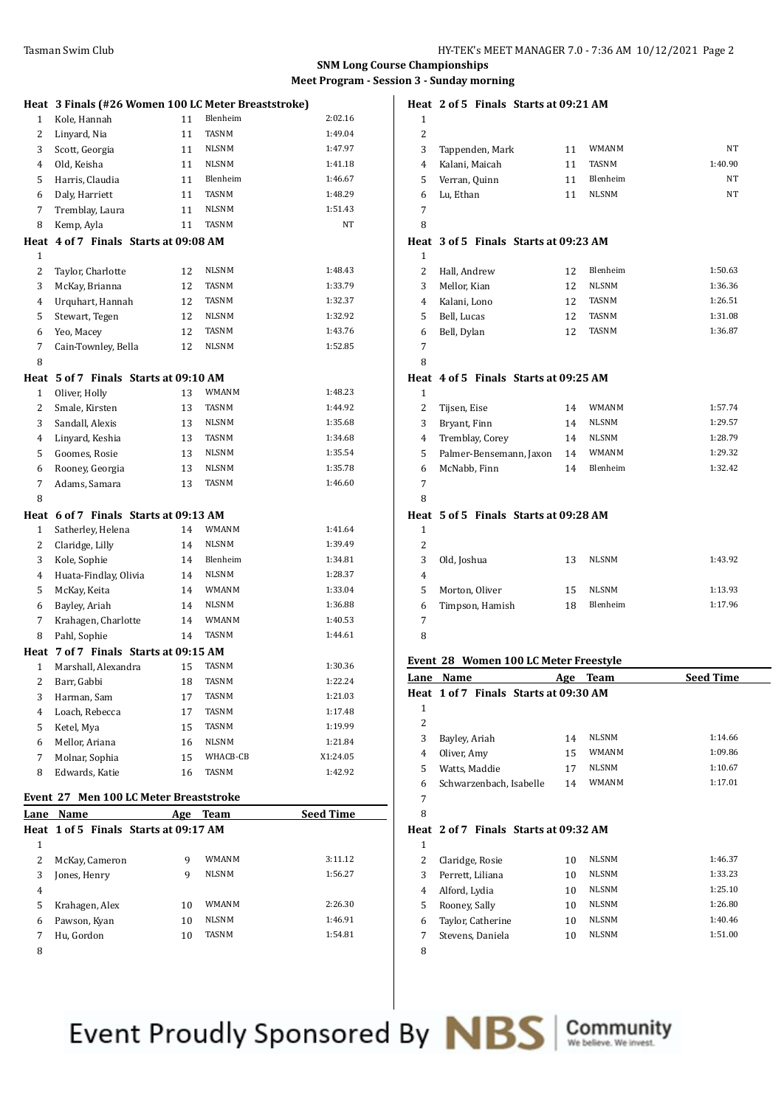#### **SNM Long Course Championships Meet Program - Session 3 - Sunday morning**

|                                        | Heat 3 Finals (#26 Women 100 LC Meter Breaststroke) |     |              |                  |  |
|----------------------------------------|-----------------------------------------------------|-----|--------------|------------------|--|
| 1                                      | Kole, Hannah                                        | 11  | Blenheim     | 2:02.16          |  |
| 2                                      | Linyard, Nia                                        | 11  | TASNM        | 1:49.04          |  |
| 3                                      | Scott, Georgia                                      | 11  | NLSNM        | 1:47.97          |  |
| 4                                      | Old, Keisha                                         | 11  | <b>NLSNM</b> | 1:41.18          |  |
| 5                                      | Harris, Claudia                                     | 11  | Blenheim     | 1:46.67          |  |
| 6                                      | Daly, Harriett                                      | 11  | TASNM        | 1:48.29          |  |
| 7                                      | Tremblay, Laura                                     | 11  | <b>NLSNM</b> | 1:51.43          |  |
| 8                                      | Kemp, Ayla                                          | 11  | TASNM        | NT               |  |
| Heat                                   | 4 of 7 Finals Starts at 09:08 AM                    |     |              |                  |  |
| $\mathbf{1}$                           |                                                     |     |              |                  |  |
| 2                                      | Taylor, Charlotte                                   | 12  | NLSNM        | 1:48.43          |  |
| 3                                      | McKay, Brianna                                      | 12  | TASNM        | 1:33.79          |  |
| 4                                      | Urquhart, Hannah                                    | 12  | TASNM        | 1:32.37          |  |
| 5                                      | Stewart, Tegen                                      | 12  | NLSNM        | 1:32.92          |  |
| 6                                      | Yeo, Macey                                          | 12  | TASNM        | 1:43.76          |  |
| 7                                      | Cain-Townley, Bella                                 | 12  | NLSNM        | 1:52.85          |  |
| 8                                      |                                                     |     |              |                  |  |
|                                        |                                                     |     |              |                  |  |
| Heat<br>$\mathbf{1}$                   | 5 of 7 Finals Starts at 09:10 AM                    | 13  | <b>WMANM</b> | 1:48.23          |  |
|                                        | Oliver, Holly                                       |     |              | 1:44.92          |  |
| 2                                      | Smale, Kirsten                                      | 13  | TASNM        |                  |  |
| 3                                      | Sandall, Alexis                                     | 13  | NLSNM        | 1:35.68          |  |
| 4                                      | Linyard, Keshia                                     | 13  | TASNM        | 1:34.68          |  |
| 5                                      | Goomes, Rosie                                       | 13  | <b>NLSNM</b> | 1:35.54          |  |
| 6                                      | Rooney, Georgia                                     | 13  | NLSNM        | 1:35.78          |  |
| 7                                      | Adams, Samara                                       | 13  | TASNM        | 1:46.60          |  |
| 8                                      |                                                     |     |              |                  |  |
|                                        | Heat 6 of 7 Finals Starts at 09:13 AM               |     |              |                  |  |
| 1                                      | Satherley, Helena                                   | 14  | WMANM        | 1:41.64          |  |
| 2                                      | Claridge, Lilly                                     | 14  | NLSNM        | 1:39.49          |  |
| 3                                      | Kole, Sophie                                        | 14  | Blenheim     | 1:34.81          |  |
| 4                                      | Huata-Findlay, Olivia                               | 14  | <b>NLSNM</b> | 1:28.37          |  |
| 5                                      | McKay, Keita                                        | 14  | WMANM        | 1:33.04          |  |
| 6                                      | Bayley, Ariah                                       | 14  | <b>NLSNM</b> | 1:36.88          |  |
| 7                                      | Krahagen, Charlotte                                 | 14  | WMANM        | 1:40.53          |  |
| 8                                      | Pahl, Sophie                                        | 14  | TASNM        | 1:44.61          |  |
|                                        | Heat 7 of 7 Finals Starts at 09:15 AM               |     |              |                  |  |
| $\mathbf{1}$                           | Marshall, Alexandra                                 | 15  | TASNM        | 1:30.36          |  |
| 2                                      | Barr, Gabbi                                         | 18  | <b>TASNM</b> | 1:22.24          |  |
| 3                                      | Harman, Sam                                         | 17  | TASNM        | 1:21.03          |  |
| 4                                      | Loach, Rebecca                                      | 17  | TASNM        | 1:17.48          |  |
| 5                                      | Ketel, Mya                                          | 15  | TASNM        | 1:19.99          |  |
| 6                                      | Mellor, Ariana                                      | 16  | NLSNM        | 1:21.84          |  |
| 7                                      | Molnar, Sophia                                      | 15  | WHACB-CB     | X1:24.05         |  |
| 8                                      | Edwards, Katie                                      | 16  | TASNM        | 1:42.92          |  |
|                                        |                                                     |     |              |                  |  |
| Event 27 Men 100 LC Meter Breaststroke |                                                     |     |              |                  |  |
|                                        | Lane Name                                           | Age | <b>Team</b>  | <b>Seed Time</b> |  |
| Heat                                   | 1 of 5 Finals Starts at 09:17 AM                    |     |              |                  |  |
| $\mathbf{1}$                           |                                                     |     |              |                  |  |
| 2                                      | McKay, Cameron                                      | 9   | WMANM        | 3:11.12          |  |
| 3                                      | Jones, Henry                                        | 9   | NLSNM        | 1:56.27          |  |
| 4                                      |                                                     |     |              |                  |  |
| 5                                      | Krahagen, Alex                                      | 10  | WMANM        | 2:26.30          |  |
| 6                                      | Pawson, Kyan                                        | 10  | NLSNM        | 1:46.91          |  |
| 7                                      | Hu, Gordon                                          | 10  | TASNM        | 1:54.81          |  |
|                                        |                                                     |     |              |                  |  |

|                | Heat 2 of 5 Finals Starts at 09:21 AM |            |              |                  |
|----------------|---------------------------------------|------------|--------------|------------------|
| $\mathbf{1}$   |                                       |            |              |                  |
| $\overline{2}$ |                                       |            |              |                  |
| 3              | Tappenden, Mark                       | 11         | <b>WMANM</b> | NT               |
| $\overline{4}$ | Kalani, Maicah                        | 11         | <b>TASNM</b> | 1:40.90          |
| 5              | Verran, Quinn                         | 11         | Blenheim     | NT               |
| 6              | Lu, Ethan                             | 11         | <b>NLSNM</b> | NT               |
| 7              |                                       |            |              |                  |
| 8              |                                       |            |              |                  |
|                | Heat 3 of 5 Finals Starts at 09:23 AM |            |              |                  |
| 1              |                                       |            |              |                  |
| $\overline{2}$ | Hall, Andrew                          | 12         | Blenheim     | 1:50.63          |
| 3              | Mellor, Kian                          | 12         | <b>NLSNM</b> | 1:36.36          |
| 4              | Kalani, Lono                          | 12         | TASNM        | 1:26.51          |
| 5              | Bell, Lucas                           | 12         | <b>TASNM</b> | 1:31.08          |
| 6              | Bell, Dylan                           | 12         | <b>TASNM</b> | 1:36.87          |
| 7              |                                       |            |              |                  |
| 8              |                                       |            |              |                  |
| Heat           | 4 of 5 Finals Starts at 09:25 AM      |            |              |                  |
| 1              |                                       |            |              |                  |
| 2              | Tijsen, Eise                          | 14         | WMANM        | 1:57.74          |
| 3              | Bryant, Finn                          | 14         | <b>NLSNM</b> | 1:29.57          |
| 4              | Tremblay, Corey                       | 14         | <b>NLSNM</b> | 1:28.79          |
| 5              | Palmer-Bensemann, Jaxon               | 14         | <b>WMANM</b> | 1:29.32          |
| 6              | McNabb, Finn                          | 14         | Blenheim     | 1:32.42          |
| 7              |                                       |            |              |                  |
| 8              |                                       |            |              |                  |
| Heat           | 5 of 5 Finals Starts at 09:28 AM      |            |              |                  |
| $\mathbf{1}$   |                                       |            |              |                  |
| $\overline{c}$ |                                       |            |              |                  |
| 3              | Old, Joshua                           | 13         | <b>NLSNM</b> | 1:43.92          |
| 4              |                                       |            |              |                  |
| 5              | Morton, Oliver                        | 15         | <b>NLSNM</b> | 1:13.93          |
| 6              | Timpson, Hamish                       | 18         | Blenheim     | 1:17.96          |
| 7              |                                       |            |              |                  |
| 8              |                                       |            |              |                  |
|                |                                       |            |              |                  |
|                | Event 28 Women 100 LC Meter Freestyle |            |              |                  |
| Lane           | Name                                  | <u>Age</u> | <b>Team</b>  | <b>Seed Time</b> |

| Lane | Name                                  | Age | ream         | seea lime |
|------|---------------------------------------|-----|--------------|-----------|
|      | Heat 1 of 7 Finals Starts at 09:30 AM |     |              |           |
| 1    |                                       |     |              |           |
| 2    |                                       |     |              |           |
| 3    | Bayley, Ariah                         | 14  | <b>NLSNM</b> | 1:14.66   |
| 4    | Oliver, Amy                           | 15  | <b>WMANM</b> | 1:09.86   |
| 5    | Watts, Maddie                         | 17  | <b>NLSNM</b> | 1:10.67   |
| 6    | Schwarzenbach, Isabelle               | 14  | <b>WMANM</b> | 1:17.01   |
| 7    |                                       |     |              |           |
| 8    |                                       |     |              |           |
|      | Heat 2 of 7 Finals Starts at 09:32 AM |     |              |           |
| 1    |                                       |     |              |           |
| 2    | Claridge, Rosie                       | 10  | <b>NLSNM</b> | 1:46.37   |
| 3    | Perrett, Liliana                      | 10  | <b>NLSNM</b> | 1:33.23   |
| 4    | Alford, Lydia                         | 10  | <b>NLSNM</b> | 1:25.10   |
| 5    | Rooney, Sally                         | 10  | <b>NLSNM</b> | 1:26.80   |
| 6    | Taylor, Catherine                     | 10  | <b>NLSNM</b> | 1:40.46   |
| 7    | Stevens, Daniela                      | 10  | <b>NLSNM</b> | 1:51.00   |
|      |                                       |     |              |           |

Event Proudly Sponsored By NBS

Community<br>We believe. We invest.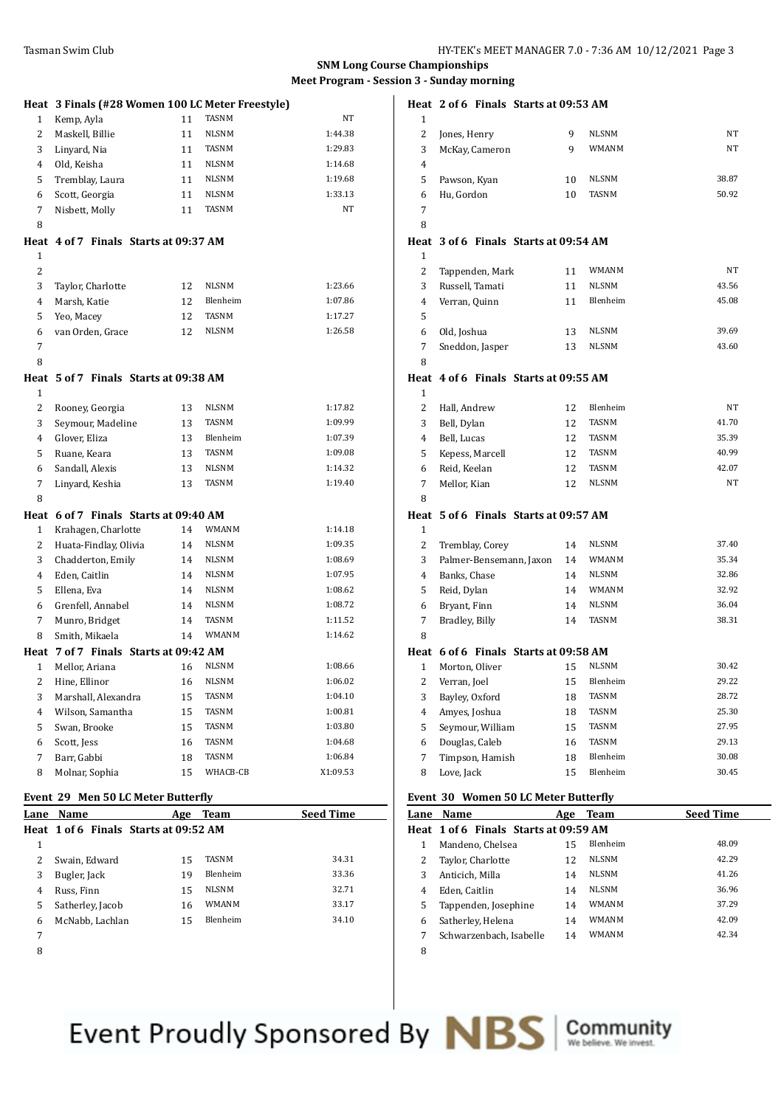#### **SNM Long Course Championships Meet Program - Session 3 - Sunday morning**

|                         | Heat 3 Finals (#28 Women 100 LC Meter Freestyle) |    |                              |                    |
|-------------------------|--------------------------------------------------|----|------------------------------|--------------------|
| 1                       | Kemp, Ayla                                       | 11 | <b>TASNM</b>                 | NT                 |
| 2                       | Maskell, Billie                                  | 11 | <b>NLSNM</b>                 | 1:44.38            |
| 3                       | Linyard, Nia                                     | 11 | TASNM                        | 1:29.83            |
| 4                       | Old, Keisha                                      | 11 | <b>NLSNM</b>                 | 1:14.68            |
| 5                       | Tremblay, Laura                                  | 11 | <b>NLSNM</b>                 | 1:19.68            |
| 6                       | Scott, Georgia                                   | 11 | <b>NLSNM</b>                 | 1:33.13            |
| 7                       | Nisbett, Molly                                   | 11 | TASNM                        | NT                 |
| 8                       |                                                  |    |                              |                    |
|                         | Heat 4 of 7 Finals Starts at 09:37 AM            |    |                              |                    |
| 1                       |                                                  |    |                              |                    |
| 2                       |                                                  |    |                              |                    |
| 3                       | Taylor, Charlotte                                | 12 | <b>NLSNM</b>                 | 1:23.66            |
| 4                       | Marsh, Katie                                     | 12 | Blenheim                     | 1:07.86            |
| 5                       | Yeo, Macey                                       | 12 | TASNM                        | 1:17.27            |
| 6                       | van Orden, Grace                                 | 12 | <b>NLSNM</b>                 | 1:26.58            |
| 7                       |                                                  |    |                              |                    |
| 8                       |                                                  |    |                              |                    |
|                         | Heat 5 of 7 Finals Starts at 09:38 AM            |    |                              |                    |
| 1                       |                                                  |    |                              |                    |
| 2                       | Rooney, Georgia                                  | 13 | <b>NLSNM</b>                 | 1:17.82            |
| 3                       | Seymour, Madeline                                | 13 | <b>TASNM</b>                 | 1:09.99            |
| 4                       | Glover, Eliza                                    | 13 | Blenheim                     | 1:07.39            |
| 5                       | Ruane, Keara                                     | 13 | TASNM                        | 1:09.08            |
| 6                       | Sandall, Alexis                                  | 13 | <b>NLSNM</b>                 | 1:14.32            |
| 7                       | Linyard, Keshia                                  | 13 | TASNM                        | 1:19.40            |
| 8                       |                                                  |    |                              |                    |
|                         | Heat 6 of 7 Finals Starts at 09:40 AM            |    |                              |                    |
| 1                       | Krahagen, Charlotte                              | 14 | <b>WMANM</b>                 | 1:14.18            |
| 2                       | Huata-Findlay, Olivia                            | 14 | <b>NLSNM</b>                 | 1:09.35            |
| 3                       | Chadderton, Emily                                | 14 | NLSNM                        | 1:08.69            |
| 4                       | Eden, Caitlin                                    | 14 | <b>NLSNM</b>                 | 1:07.95            |
| 5                       | Ellena, Eva                                      | 14 | <b>NLSNM</b>                 | 1:08.62            |
| 6                       | Grenfell, Annabel                                | 14 | <b>NLSNM</b>                 | 1:08.72            |
| 7                       | Munro, Bridget                                   | 14 | TASNM                        | 1:11.52            |
| 8                       | Smith, Mikaela                                   | 14 | <b>WMANM</b>                 | 1:14.62            |
|                         | Heat 7 of 7 Finals Starts at 09:42 AM            |    |                              |                    |
| 1                       | Mellor, Ariana                                   | 16 | <b>NLSNM</b><br><b>NLSNM</b> | 1:08.66<br>1:06.02 |
| $\overline{\mathbf{c}}$ | Hine, Ellinor                                    | 16 |                              |                    |
| 3                       | Marshall, Alexandra                              | 15 | TASNM                        | 1:04.10            |
| 4                       | Wilson, Samantha                                 | 15 | TASNM<br>TASNM               | 1:00.81            |
| 5                       | Swan, Brooke                                     | 15 | TASNM                        | 1:03.80<br>1:04.68 |
| 6                       | Scott, Jess<br>Barr, Gabbi                       | 16 | TASNM                        | 1:06.84            |
| 7<br>8                  |                                                  | 18 | WHACB-CB                     | X1:09.53           |
|                         | Molnar, Sophia                                   | 15 |                              |                    |
|                         | Event 29 Men 50 LC Meter Butterfly               |    |                              |                    |

|      | LVEIN 29 MEN JU LUMENT DUNCHIN        |     |                 |                  |
|------|---------------------------------------|-----|-----------------|------------------|
| Lane | <b>Name</b>                           | Age | Team            | <b>Seed Time</b> |
|      | Heat 1 of 6 Finals Starts at 09:52 AM |     |                 |                  |
| 1    |                                       |     |                 |                  |
| 2    | Swain, Edward                         | 15  | <b>TASNM</b>    | 34.31            |
| 3    | Bugler, Jack                          | 19  | Blenheim        | 33.36            |
| 4    | Russ, Finn                            | 15  | <b>NLSNM</b>    | 32.71            |
| 5    | Satherley, Jacob                      | 16  | WMANM           | 33.17            |
| 6    | McNabb, Lachlan                       | 15  | <b>Blenheim</b> | 34.10            |
| 7    |                                       |     |                 |                  |
| 8    |                                       |     |                 |                  |

|                |                |                 | Heat 2 of 6 Finals Starts at 09:53 AM |              |           |
|----------------|----------------|-----------------|---------------------------------------|--------------|-----------|
| $\mathbf{1}$   |                |                 |                                       |              |           |
| $\overline{2}$ | Jones, Henry   |                 | 9                                     | <b>NLSNM</b> | NT        |
| 3              |                | McKay, Cameron  | 9                                     | <b>WMANM</b> | <b>NT</b> |
| 4              |                |                 |                                       |              |           |
| 5              | Pawson, Kyan   |                 | 10                                    | <b>NLSNM</b> | 38.87     |
| 6              | Hu, Gordon     |                 | 10                                    | <b>TASNM</b> | 50.92     |
| 7              |                |                 |                                       |              |           |
| 8              |                |                 |                                       |              |           |
|                |                |                 | Heat 3 of 6 Finals Starts at 09:54 AM |              |           |
| $\mathbf{1}$   |                |                 |                                       |              |           |
| $\overline{c}$ |                | Tappenden, Mark | 11                                    | WMANM        | NT        |
| 3              |                | Russell, Tamati | 11                                    | <b>NLSNM</b> | 43.56     |
| 4              | Verran, Quinn  |                 | 11                                    | Blenheim     | 45.08     |
| 5              |                |                 |                                       |              |           |
| 6              | Old, Joshua    |                 | 13                                    | <b>NLSNM</b> | 39.69     |
| 7              |                | Sneddon, Jasper | 13                                    | NLSNM        | 43.60     |
| 8              |                |                 |                                       |              |           |
| Heat           |                |                 | 4 of 6 Finals Starts at 09:55 AM      |              |           |
| 1              |                |                 |                                       |              |           |
| $\overline{2}$ | Hall, Andrew   |                 | 12                                    | Blenheim     | NT        |
| 3              | Bell, Dylan    |                 | 12                                    | TASNM        | 41.70     |
| $\overline{4}$ | Bell, Lucas    |                 | 12                                    | <b>TASNM</b> | 35.39     |
| 5              |                | Kepess, Marcell | 12                                    | <b>TASNM</b> | 40.99     |
| 6              | Reid, Keelan   |                 | 12                                    | <b>TASNM</b> | 42.07     |
| 7              | Mellor, Kian   |                 | 12                                    | <b>NLSNM</b> | NT        |
| 8              |                |                 |                                       |              |           |
| Heat           |                |                 | 5 of 6 Finals Starts at 09:57 AM      |              |           |
| $\mathbf{1}$   |                |                 |                                       |              |           |
| $\overline{c}$ |                | Tremblay, Corey | 14                                    | NLSNM        | 37.40     |
| 3              |                |                 | Palmer-Bensemann, Jaxon<br>14         | WMANM        | 35.34     |
| 4              | Banks, Chase   |                 | 14                                    | <b>NLSNM</b> | 32.86     |
| 5              | Reid, Dylan    |                 | 14                                    | WMANM        | 32.92     |
| 6              | Bryant, Finn   |                 | 14                                    | <b>NLSNM</b> | 36.04     |
| 7              | Bradley, Billy |                 | 14                                    | <b>TASNM</b> | 38.31     |
| 8              |                |                 |                                       |              |           |

# **Heat 6 of 6 Finals Starts at 09:58 AM**

|   | .cac o or o Thuas bun wacozibo hig |    |                 |       |
|---|------------------------------------|----|-----------------|-------|
|   | Morton, Oliver                     | 15 | <b>NLSNM</b>    | 30.42 |
|   | Verran, Joel                       | 15 | Blenheim        | 29.22 |
| 3 | Bayley, Oxford                     | 18 | <b>TASNM</b>    | 28.72 |
| 4 | Amyes, Joshua                      | 18 | <b>TASNM</b>    | 25.30 |
| 5 | Seymour, William                   | 15 | <b>TASNM</b>    | 27.95 |
| 6 | Douglas, Caleb                     | 16 | <b>TASNM</b>    | 29.13 |
|   | Timpson, Hamish                    | 18 | Blenheim        | 30.08 |
| 8 | Love, Jack                         | 15 | <b>Blenheim</b> | 30.45 |
|   |                                    |    |                 |       |

#### **Event 30 Women 50 LC Meter Butterfly**

| Lane | Name                                  | Age | <b>Team</b>  | <b>Seed Time</b> |
|------|---------------------------------------|-----|--------------|------------------|
|      | Heat 1 of 6 Finals Starts at 09:59 AM |     |              |                  |
| 1    | Mandeno, Chelsea                      | 15  | Blenheim     | 48.09            |
| 2    | Taylor, Charlotte                     | 12  | <b>NLSNM</b> | 42.29            |
| 3    | Anticich, Milla                       | 14  | <b>NLSNM</b> | 41.26            |
| 4    | Eden, Caitlin                         | 14  | <b>NLSNM</b> | 36.96            |
| 5    | Tappenden, Josephine                  | 14  | <b>WMANM</b> | 37.29            |
| 6    | Satherley, Helena                     | 14  | WMANM        | 42.09            |
| 7    | Schwarzenbach, Isabelle               | 14  | WMANM        | 42.34            |
| 8    |                                       |     |              |                  |